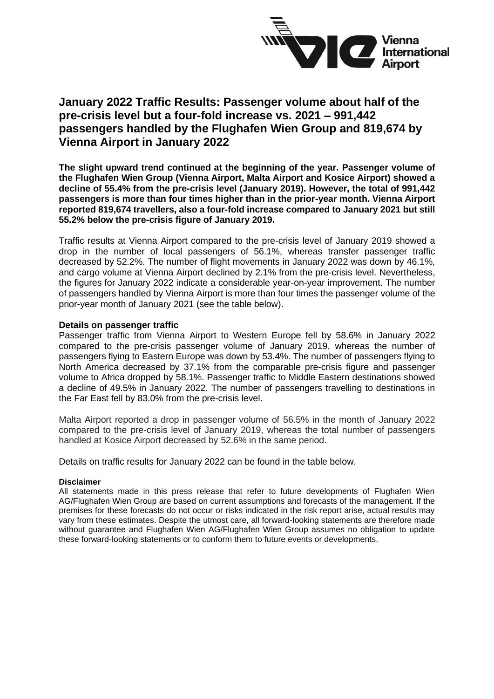

# **January 2022 Traffic Results: Passenger volume about half of the pre-crisis level but a four-fold increase vs. 2021 – 991,442 passengers handled by the Flughafen Wien Group and 819,674 by Vienna Airport in January 2022**

**The slight upward trend continued at the beginning of the year. Passenger volume of the Flughafen Wien Group (Vienna Airport, Malta Airport and Kosice Airport) showed a decline of 55.4% from the pre-crisis level (January 2019). However, the total of 991,442 passengers is more than four times higher than in the prior-year month. Vienna Airport reported 819,674 travellers, also a four-fold increase compared to January 2021 but still 55.2% below the pre-crisis figure of January 2019.** 

Traffic results at Vienna Airport compared to the pre-crisis level of January 2019 showed a drop in the number of local passengers of 56.1%, whereas transfer passenger traffic decreased by 52.2%. The number of flight movements in January 2022 was down by 46.1%, and cargo volume at Vienna Airport declined by 2.1% from the pre-crisis level. Nevertheless, the figures for January 2022 indicate a considerable year-on-year improvement. The number of passengers handled by Vienna Airport is more than four times the passenger volume of the prior-year month of January 2021 (see the table below).

### **Details on passenger traffic**

Passenger traffic from Vienna Airport to Western Europe fell by 58.6% in January 2022 compared to the pre-crisis passenger volume of January 2019, whereas the number of passengers flying to Eastern Europe was down by 53.4%. The number of passengers flying to North America decreased by 37.1% from the comparable pre-crisis figure and passenger volume to Africa dropped by 58.1%. Passenger traffic to Middle Eastern destinations showed a decline of 49.5% in January 2022. The number of passengers travelling to destinations in the Far East fell by 83.0% from the pre-crisis level.

Malta Airport reported a drop in passenger volume of 56.5% in the month of January 2022 compared to the pre-crisis level of January 2019, whereas the total number of passengers handled at Kosice Airport decreased by 52.6% in the same period.

Details on traffic results for January 2022 can be found in the table below.

#### **Disclaimer**

All statements made in this press release that refer to future developments of Flughafen Wien AG/Flughafen Wien Group are based on current assumptions and forecasts of the management. If the premises for these forecasts do not occur or risks indicated in the risk report arise, actual results may vary from these estimates. Despite the utmost care, all forward-looking statements are therefore made without guarantee and Flughafen Wien AG/Flughafen Wien Group assumes no obligation to update these forward-looking statements or to conform them to future events or developments.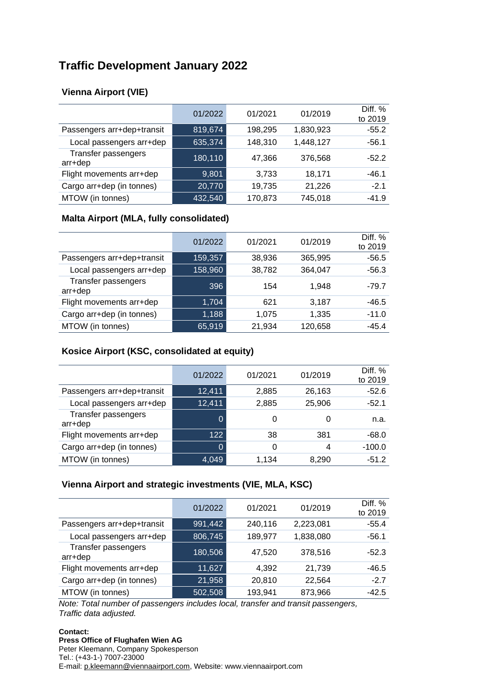# **Traffic Development January 2022**

# **Vienna Airport (VIE)**

|                                | 01/2022 | 01/2021 | 01/2019   | Diff. %<br>to 2019 |
|--------------------------------|---------|---------|-----------|--------------------|
| Passengers arr+dep+transit     | 819,674 | 198,295 | 1,830,923 | $-55.2$            |
| Local passengers arr+dep       | 635,374 | 148,310 | 1,448,127 | $-56.1$            |
| Transfer passengers<br>arr+dep | 180,110 | 47,366  | 376,568   | $-52.2$            |
| Flight movements arr+dep       | 9,801   | 3,733   | 18,171    | $-46.1$            |
| Cargo arr+dep (in tonnes)      | 20,770  | 19,735  | 21,226    | $-2.1$             |
| MTOW (in tonnes)               | 432,540 | 170,873 | 745,018   | $-41.9$            |

## **Malta Airport (MLA, fully consolidated)**

|                                | 01/2022 | 01/2021 | 01/2019 | Diff. %<br>to 2019 |
|--------------------------------|---------|---------|---------|--------------------|
| Passengers arr+dep+transit     | 159,357 | 38,936  | 365,995 | $-56.5$            |
| Local passengers arr+dep       | 158,960 | 38,782  | 364,047 | $-56.3$            |
| Transfer passengers<br>arr+dep | 396     | 154     | 1.948   | -79.7              |
| Flight movements arr+dep       | 1,704   | 621     | 3,187   | $-46.5$            |
| Cargo arr+dep (in tonnes)      | 1,188   | 1,075   | 1,335   | $-11.0$            |
| MTOW (in tonnes)               | 65,919  | 21,934  | 120,658 | $-45.4$            |

## **Kosice Airport (KSC, consolidated at equity)**

|                                | 01/2022        | 01/2021 | 01/2019 | Diff. %<br>to 2019 |
|--------------------------------|----------------|---------|---------|--------------------|
| Passengers arr+dep+transit     | 12,411         | 2,885   | 26,163  | $-52.6$            |
| Local passengers arr+dep       | 12,411         | 2,885   | 25,906  | $-52.1$            |
| Transfer passengers<br>arr+dep | $\Omega$       |         |         | n.a.               |
| Flight movements arr+dep       | 122            | 38      | 381     | $-68.0$            |
| Cargo arr+dep (in tonnes)      | $\overline{0}$ | 0       | 4       | $-100.0$           |
| MTOW (in tonnes)               | 4,049          | 1.134   | 8,290   | $-51.2$            |

### **Vienna Airport and strategic investments (VIE, MLA, KSC)**

|                                | 01/2022 | 01/2021 | 01/2019   | Diff. %<br>to 2019 |
|--------------------------------|---------|---------|-----------|--------------------|
| Passengers arr+dep+transit     | 991,442 | 240,116 | 2,223,081 | $-55.4$            |
| Local passengers arr+dep       | 806,745 | 189,977 | 1,838,080 | $-56.1$            |
| Transfer passengers<br>arr+dep | 180,506 | 47,520  | 378,516   | $-52.3$            |
| Flight movements arr+dep       | 11,627  | 4,392   | 21,739    | -46.5              |
| Cargo arr+dep (in tonnes)      | 21,958  | 20,810  | 22,564    | $-2.7$             |
| MTOW (in tonnes)               | 502,508 | 193,941 | 873,966   | $-42.5$            |

*Note: Total number of passengers includes local, transfer and transit passengers, Traffic data adjusted.*

#### **Contact: Press Office of Flughafen Wien AG** Peter Kleemann, Company Spokesperson Tel.: (+43-1-) 7007-23000 E-mail: [p.kleemann@viennaairport.com,](mailto:p.kleemann@viennaairport.com) Website: www.viennaairport.com